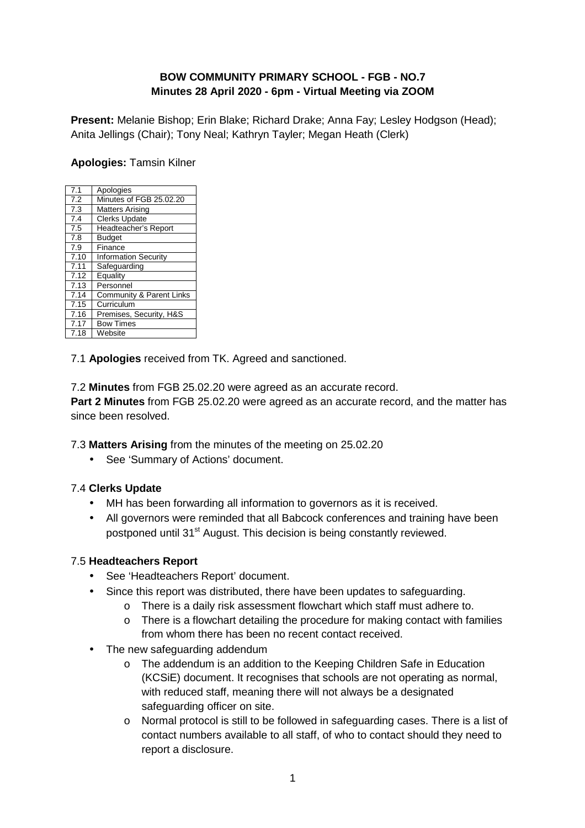### **BOW COMMUNITY PRIMARY SCHOOL - FGB - NO.7 Minutes 28 April 2020 - 6pm - Virtual Meeting via ZOOM**

**Present:** Melanie Bishop; Erin Blake; Richard Drake; Anna Fay; Lesley Hodgson (Head); Anita Jellings (Chair); Tony Neal; Kathryn Tayler; Megan Heath (Clerk)

### **Apologies:** Tamsin Kilner

| 7.1  | Apologies                   |
|------|-----------------------------|
| 7.2  | Minutes of FGB 25.02.20     |
| 7.3  | <b>Matters Arising</b>      |
| 7.4  | <b>Clerks Update</b>        |
| 7.5  | Headteacher's Report        |
| 7.8  | <b>Budget</b>               |
| 7.9  | Finance                     |
| 7.10 | <b>Information Security</b> |
| 7.11 | Safeguarding                |
| 7.12 | Equality                    |
| 7.13 | Personnel                   |
| 7.14 | Community & Parent Links    |
| 7.15 | Curriculum                  |
| 7.16 | Premises, Security, H&S     |
| 7.17 | <b>Bow Times</b>            |
| 7.18 | Website                     |
|      |                             |

7.1 **Apologies** received from TK. Agreed and sanctioned.

7.2 **Minutes** from FGB 25.02.20 were agreed as an accurate record.

**Part 2 Minutes** from FGB 25.02.20 were agreed as an accurate record, and the matter has since been resolved.

7.3 **Matters Arising** from the minutes of the meeting on 25.02.20

• See 'Summary of Actions' document.

### 7.4 **Clerks Update**

- MH has been forwarding all information to governors as it is received.
- All governors were reminded that all Babcock conferences and training have been postponed until 31<sup>st</sup> August. This decision is being constantly reviewed.

### 7.5 **Headteachers Report**

- See 'Headteachers Report' document.
- Since this report was distributed, there have been updates to safeguarding.
	- o There is a daily risk assessment flowchart which staff must adhere to.
	- o There is a flowchart detailing the procedure for making contact with families from whom there has been no recent contact received.
- The new safeguarding addendum
	- o The addendum is an addition to the Keeping Children Safe in Education (KCSiE) document. It recognises that schools are not operating as normal, with reduced staff, meaning there will not always be a designated safeguarding officer on site.
	- o Normal protocol is still to be followed in safeguarding cases. There is a list of contact numbers available to all staff, of who to contact should they need to report a disclosure.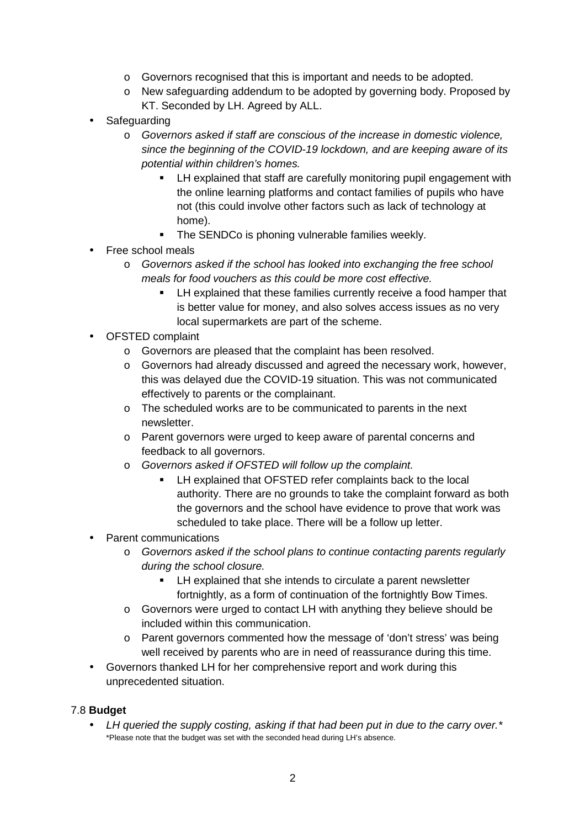- o Governors recognised that this is important and needs to be adopted.
- o New safeguarding addendum to be adopted by governing body. Proposed by KT. Seconded by LH. Agreed by ALL.
- Safeguarding
	- o Governors asked if staff are conscious of the increase in domestic violence, since the beginning of the COVID-19 lockdown, and are keeping aware of its potential within children's homes.
		- **EXECT** LH explained that staff are carefully monitoring pupil engagement with the online learning platforms and contact families of pupils who have not (this could involve other factors such as lack of technology at home).
		- **The SENDCo is phoning vulnerable families weekly.**
- Free school meals
	- o Governors asked if the school has looked into exchanging the free school meals for food vouchers as this could be more cost effective.
		- **EXECT** LH explained that these families currently receive a food hamper that is better value for money, and also solves access issues as no very local supermarkets are part of the scheme.
- OFSTED complaint
	- o Governors are pleased that the complaint has been resolved.
	- o Governors had already discussed and agreed the necessary work, however, this was delayed due the COVID-19 situation. This was not communicated effectively to parents or the complainant.
	- o The scheduled works are to be communicated to parents in the next newsletter.
	- o Parent governors were urged to keep aware of parental concerns and feedback to all governors.
	- o Governors asked if OFSTED will follow up the complaint.
		- **EXECTED refer complaints back to the local** authority. There are no grounds to take the complaint forward as both the governors and the school have evidence to prove that work was scheduled to take place. There will be a follow up letter.
- Parent communications
	- o Governors asked if the school plans to continue contacting parents regularly during the school closure.
		- **EXECT** LH explained that she intends to circulate a parent newsletter fortnightly, as a form of continuation of the fortnightly Bow Times.
	- o Governors were urged to contact LH with anything they believe should be included within this communication.
	- o Parent governors commented how the message of 'don't stress' was being well received by parents who are in need of reassurance during this time.
- Governors thanked LH for her comprehensive report and work during this unprecedented situation.

#### 7.8 **Budget**

• LH queried the supply costing, asking if that had been put in due to the carry over.\* \*Please note that the budget was set with the seconded head during LH's absence.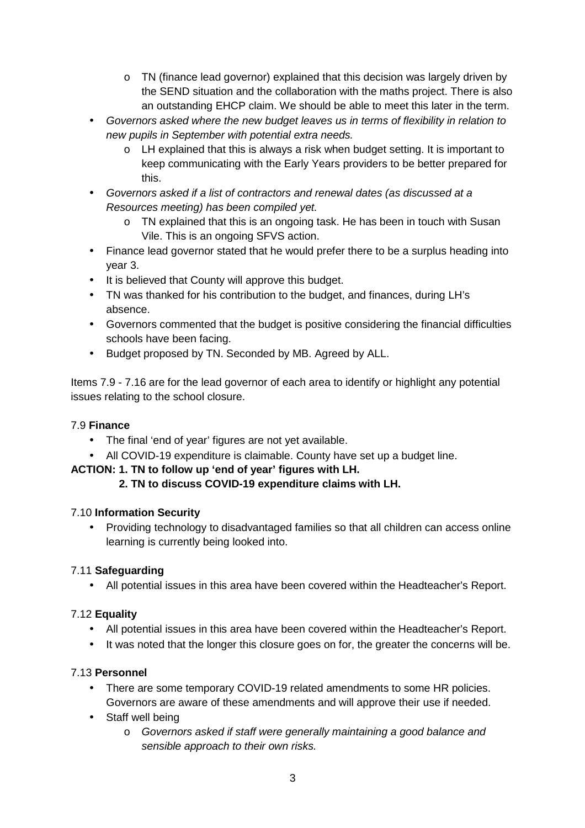- o TN (finance lead governor) explained that this decision was largely driven by the SEND situation and the collaboration with the maths project. There is also an outstanding EHCP claim. We should be able to meet this later in the term.
- Governors asked where the new budget leaves us in terms of flexibility in relation to new pupils in September with potential extra needs.
	- $\circ$  LH explained that this is always a risk when budget setting. It is important to keep communicating with the Early Years providers to be better prepared for this.
- Governors asked if a list of contractors and renewal dates (as discussed at a Resources meeting) has been compiled yet.
	- $\circ$  TN explained that this is an ongoing task. He has been in touch with Susan Vile. This is an ongoing SFVS action.
- Finance lead governor stated that he would prefer there to be a surplus heading into year 3.
- It is believed that County will approve this budget.
- TN was thanked for his contribution to the budget, and finances, during LH's absence.
- Governors commented that the budget is positive considering the financial difficulties schools have been facing.
- Budget proposed by TN. Seconded by MB. Agreed by ALL.

Items 7.9 - 7.16 are for the lead governor of each area to identify or highlight any potential issues relating to the school closure.

# 7.9 **Finance**

- The final 'end of year' figures are not yet available.
- All COVID-19 expenditure is claimable. County have set up a budget line.

# **ACTION: 1. TN to follow up 'end of year' figures with LH.**

# **2. TN to discuss COVID-19 expenditure claims with LH.**

### 7.10 **Information Security**

• Providing technology to disadvantaged families so that all children can access online learning is currently being looked into.

### 7.11 **Safeguarding**

• All potential issues in this area have been covered within the Headteacher's Report.

# 7.12 **Equality**

- All potential issues in this area have been covered within the Headteacher's Report.
- It was noted that the longer this closure goes on for, the greater the concerns will be.

### 7.13 **Personnel**

- There are some temporary COVID-19 related amendments to some HR policies. Governors are aware of these amendments and will approve their use if needed.
- Staff well being
	- o Governors asked if staff were generally maintaining a good balance and sensible approach to their own risks.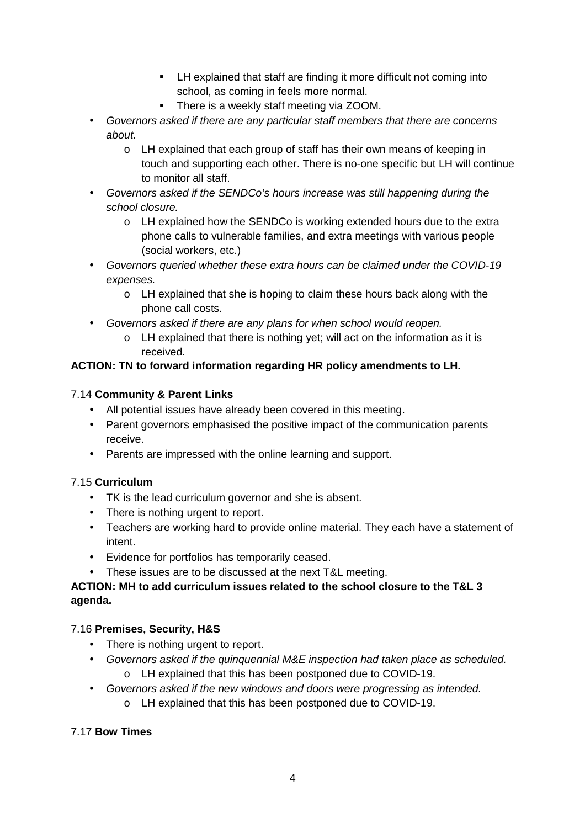- LH explained that staff are finding it more difficult not coming into school, as coming in feels more normal.
- There is a weekly staff meeting via ZOOM.
- Governors asked if there are any particular staff members that there are concerns about.
	- o LH explained that each group of staff has their own means of keeping in touch and supporting each other. There is no-one specific but LH will continue to monitor all staff.
- Governors asked if the SENDCo's hours increase was still happening during the school closure.
	- o LH explained how the SENDCo is working extended hours due to the extra phone calls to vulnerable families, and extra meetings with various people (social workers, etc.)
- Governors queried whether these extra hours can be claimed under the COVID-19 expenses.
	- o LH explained that she is hoping to claim these hours back along with the phone call costs.
- Governors asked if there are any plans for when school would reopen.
	- o LH explained that there is nothing yet; will act on the information as it is received.

# **ACTION: TN to forward information regarding HR policy amendments to LH.**

### 7.14 **Community & Parent Links**

- All potential issues have already been covered in this meeting.
- Parent governors emphasised the positive impact of the communication parents receive.
- Parents are impressed with the online learning and support.

# 7.15 **Curriculum**

- TK is the lead curriculum governor and she is absent.
- There is nothing urgent to report.
- Teachers are working hard to provide online material. They each have a statement of intent.
- Evidence for portfolios has temporarily ceased.
- These issues are to be discussed at the next T&L meeting.

### **ACTION: MH to add curriculum issues related to the school closure to the T&L 3 agenda.**

# 7.16 **Premises, Security, H&S**

- There is nothing urgent to report.
- Governors asked if the quinquennial M&E inspection had taken place as scheduled. o LH explained that this has been postponed due to COVID-19.
- Governors asked if the new windows and doors were progressing as intended.
	- o LH explained that this has been postponed due to COVID-19.

### 7.17 **Bow Times**